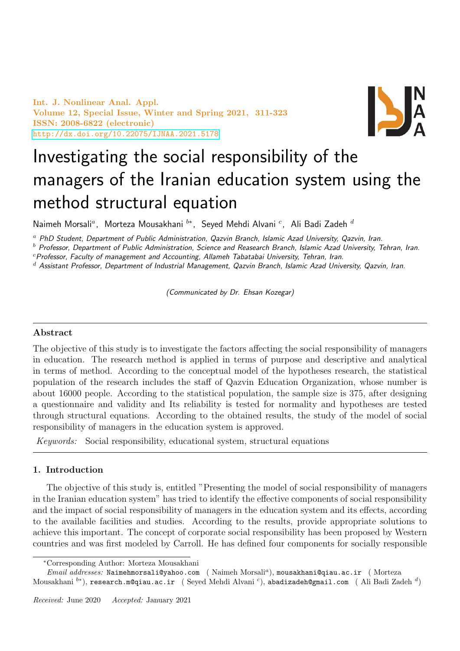Int. J. Nonlinear Anal. Appl. Volume 12, Special Issue, Winter and Spring 2021, 311-323 ISSN: 2008-6822 (electronic) <http://dx.doi.org/10.22075/IJNAA.2021.5178>



# Investigating the social responsibility of the managers of the Iranian education system using the method structural equation

Naimeh Morsali<sup>a</sup>, Morteza Mousakhani <sup>b∗</sup>, Seyed Mehdi Alvani <sup>c</sup>, Ali Badi Zadeh <sup>d</sup>

<sup>a</sup> PhD Student, Department of Public Administration, Qazvin Branch, Islamic Azad University, Qazvin, Iran.

 $<sup>b</sup>$  Professor, Department of Public Administration, Science and Reasearch Branch, Islamic Azad University, Tehran, Iran.</sup>

 $c$ Professor, Faculty of management and Accounting, Allameh Tabatabai University, Tehran, Iran.

 $d$  Assistant Professor, Department of Industrial Management, Qazvin Branch, Islamic Azad University, Qazvin, Iran.

(Communicated by Dr. Ehsan Kozegar)

## Abstract

The objective of this study is to investigate the factors affecting the social responsibility of managers in education. The research method is applied in terms of purpose and descriptive and analytical in terms of method. According to the conceptual model of the hypotheses research, the statistical population of the research includes the staff of Qazvin Education Organization, whose number is about 16000 people. According to the statistical population, the sample size is 375, after designing a questionnaire and validity and Its reliability is tested for normality and hypotheses are tested through structural equations. According to the obtained results, the study of the model of social responsibility of managers in the education system is approved.

Keywords: Social responsibility, educational system, structural equations

## 1. Introduction

The objective of this study is, entitled "Presenting the model of social responsibility of managers in the Iranian education system" has tried to identify the effective components of social responsibility and the impact of social responsibility of managers in the education system and its effects, according to the available facilities and studies. According to the results, provide appropriate solutions to achieve this important. The concept of corporate social responsibility has been proposed by Western countries and was first modeled by Carroll. He has defined four components for socially responsible

<sup>∗</sup>Corresponding Author: Morteza Mousakhani

 $\noindent Email\ addresses: \texttt{Naimehmorsali@yahoo.com} \quad (\text{Naimeh Morsali}^a), \texttt{mousakhani@qiau.ac.in} \quad (\texttt{Morteza})$ Mousakhani  $^{b*}$ ), research.m@qiau.ac.ir (Seyed Mehdi Alvanić), abadizadeh@gmail.com (Ali Badi Zadeh  $^d)$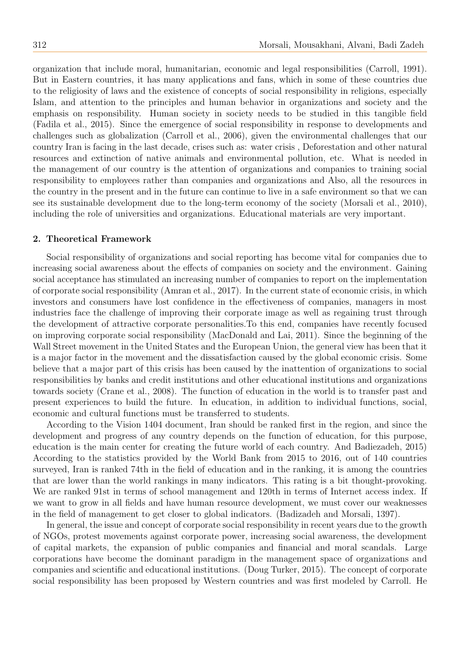organization that include moral, humanitarian, economic and legal responsibilities (Carroll, 1991). But in Eastern countries, it has many applications and fans, which in some of these countries due to the religiosity of laws and the existence of concepts of social responsibility in religions, especially Islam, and attention to the principles and human behavior in organizations and society and the emphasis on responsibility. Human society in society needs to be studied in this tangible field (Fadila et al., 2015). Since the emergence of social responsibility in response to developments and challenges such as globalization (Carroll et al., 2006), given the environmental challenges that our country Iran is facing in the last decade, crises such as: water crisis , Deforestation and other natural resources and extinction of native animals and environmental pollution, etc. What is needed in the management of our country is the attention of organizations and companies to training social responsibility to employees rather than companies and organizations and Also, all the resources in the country in the present and in the future can continue to live in a safe environment so that we can see its sustainable development due to the long-term economy of the society (Morsali et al., 2010), including the role of universities and organizations. Educational materials are very important.

#### 2. Theoretical Framework

Social responsibility of organizations and social reporting has become vital for companies due to increasing social awareness about the effects of companies on society and the environment. Gaining social acceptance has stimulated an increasing number of companies to report on the implementation of corporate social responsibility (Amran et al., 2017). In the current state of economic crisis, in which investors and consumers have lost confidence in the effectiveness of companies, managers in most industries face the challenge of improving their corporate image as well as regaining trust through the development of attractive corporate personalities.To this end, companies have recently focused on improving corporate social responsibility (MacDonald and Lai, 2011). Since the beginning of the Wall Street movement in the United States and the European Union, the general view has been that it is a major factor in the movement and the dissatisfaction caused by the global economic crisis. Some believe that a major part of this crisis has been caused by the inattention of organizations to social responsibilities by banks and credit institutions and other educational institutions and organizations towards society (Crane et al., 2008). The function of education in the world is to transfer past and present experiences to build the future. In education, in addition to individual functions, social, economic and cultural functions must be transferred to students.

According to the Vision 1404 document, Iran should be ranked first in the region, and since the development and progress of any country depends on the function of education, for this purpose, education is the main center for creating the future world of each country. And Badiezadeh, 2015) According to the statistics provided by the World Bank from 2015 to 2016, out of 140 countries surveyed, Iran is ranked 74th in the field of education and in the ranking, it is among the countries that are lower than the world rankings in many indicators. This rating is a bit thought-provoking. We are ranked 91st in terms of school management and 120th in terms of Internet access index. If we want to grow in all fields and have human resource development, we must cover our weaknesses in the field of management to get closer to global indicators. (Badizadeh and Morsali, 1397).

In general, the issue and concept of corporate social responsibility in recent years due to the growth of NGOs, protest movements against corporate power, increasing social awareness, the development of capital markets, the expansion of public companies and financial and moral scandals. Large corporations have become the dominant paradigm in the management space of organizations and companies and scientific and educational institutions. (Doug Turker, 2015). The concept of corporate social responsibility has been proposed by Western countries and was first modeled by Carroll. He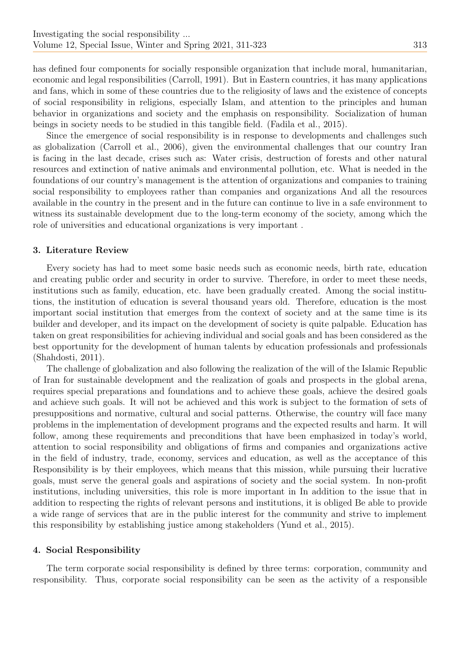has defined four components for socially responsible organization that include moral, humanitarian, economic and legal responsibilities (Carroll, 1991). But in Eastern countries, it has many applications and fans, which in some of these countries due to the religiosity of laws and the existence of concepts of social responsibility in religions, especially Islam, and attention to the principles and human behavior in organizations and society and the emphasis on responsibility. Socialization of human beings in society needs to be studied in this tangible field. (Fadila et al., 2015).

Since the emergence of social responsibility is in response to developments and challenges such as globalization (Carroll et al., 2006), given the environmental challenges that our country Iran is facing in the last decade, crises such as: Water crisis, destruction of forests and other natural resources and extinction of native animals and environmental pollution, etc. What is needed in the foundations of our country's management is the attention of organizations and companies to training social responsibility to employees rather than companies and organizations And all the resources available in the country in the present and in the future can continue to live in a safe environment to witness its sustainable development due to the long-term economy of the society, among which the role of universities and educational organizations is very important .

#### 3. Literature Review

Every society has had to meet some basic needs such as economic needs, birth rate, education and creating public order and security in order to survive. Therefore, in order to meet these needs, institutions such as family, education, etc. have been gradually created. Among the social institutions, the institution of education is several thousand years old. Therefore, education is the most important social institution that emerges from the context of society and at the same time is its builder and developer, and its impact on the development of society is quite palpable. Education has taken on great responsibilities for achieving individual and social goals and has been considered as the best opportunity for the development of human talents by education professionals and professionals (Shahdosti, 2011).

The challenge of globalization and also following the realization of the will of the Islamic Republic of Iran for sustainable development and the realization of goals and prospects in the global arena, requires special preparations and foundations and to achieve these goals, achieve the desired goals and achieve such goals. It will not be achieved and this work is subject to the formation of sets of presuppositions and normative, cultural and social patterns. Otherwise, the country will face many problems in the implementation of development programs and the expected results and harm. It will follow, among these requirements and preconditions that have been emphasized in today's world, attention to social responsibility and obligations of firms and companies and organizations active in the field of industry, trade, economy, services and education, as well as the acceptance of this Responsibility is by their employees, which means that this mission, while pursuing their lucrative goals, must serve the general goals and aspirations of society and the social system. In non-profit institutions, including universities, this role is more important in In addition to the issue that in addition to respecting the rights of relevant persons and institutions, it is obliged Be able to provide a wide range of services that are in the public interest for the community and strive to implement this responsibility by establishing justice among stakeholders (Yund et al., 2015).

#### 4. Social Responsibility

The term corporate social responsibility is defined by three terms: corporation, community and responsibility. Thus, corporate social responsibility can be seen as the activity of a responsible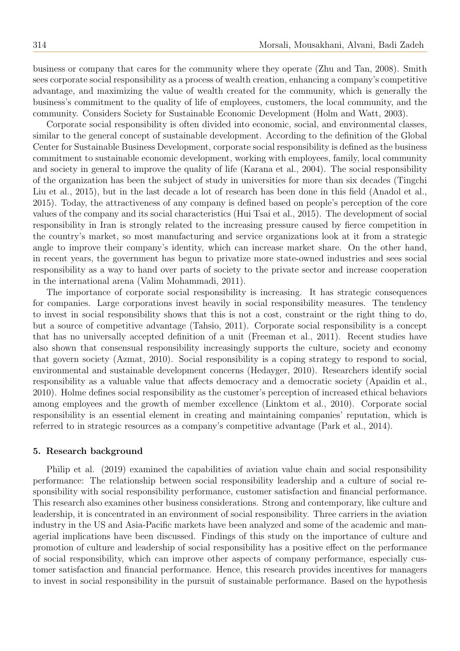business or company that cares for the community where they operate (Zhu and Tan, 2008). Smith sees corporate social responsibility as a process of wealth creation, enhancing a company's competitive advantage, and maximizing the value of wealth created for the community, which is generally the business's commitment to the quality of life of employees, customers, the local community, and the community. Considers Society for Sustainable Economic Development (Holm and Watt, 2003).

Corporate social responsibility is often divided into economic, social, and environmental classes, similar to the general concept of sustainable development. According to the definition of the Global Center for Sustainable Business Development, corporate social responsibility is defined as the business commitment to sustainable economic development, working with employees, family, local community and society in general to improve the quality of life (Karana et al., 2004). The social responsibility of the organization has been the subject of study in universities for more than six decades (Tingchi Liu et al., 2015), but in the last decade a lot of research has been done in this field (Anadol et al., 2015). Today, the attractiveness of any company is defined based on people's perception of the core values of the company and its social characteristics (Hui Tsai et al., 2015). The development of social responsibility in Iran is strongly related to the increasing pressure caused by fierce competition in the country's market, so most manufacturing and service organizations look at it from a strategic angle to improve their company's identity, which can increase market share. On the other hand, in recent years, the government has begun to privatize more state-owned industries and sees social responsibility as a way to hand over parts of society to the private sector and increase cooperation in the international arena (Valim Mohammadi, 2011).

The importance of corporate social responsibility is increasing. It has strategic consequences for companies. Large corporations invest heavily in social responsibility measures. The tendency to invest in social responsibility shows that this is not a cost, constraint or the right thing to do, but a source of competitive advantage (Tahsio, 2011). Corporate social responsibility is a concept that has no universally accepted definition of a unit (Freeman et al., 2011). Recent studies have also shown that consensual responsibility increasingly supports the culture, society and economy that govern society (Azmat, 2010). Social responsibility is a coping strategy to respond to social, environmental and sustainable development concerns (Hedayger, 2010). Researchers identify social responsibility as a valuable value that affects democracy and a democratic society (Apaidin et al., 2010). Holme defines social responsibility as the customer's perception of increased ethical behaviors among employees and the growth of member excellence (Linktom et al., 2010). Corporate social responsibility is an essential element in creating and maintaining companies' reputation, which is referred to in strategic resources as a company's competitive advantage (Park et al., 2014).

#### 5. Research background

Philip et al. (2019) examined the capabilities of aviation value chain and social responsibility performance: The relationship between social responsibility leadership and a culture of social responsibility with social responsibility performance, customer satisfaction and financial performance. This research also examines other business considerations. Strong and contemporary, like culture and leadership, it is concentrated in an environment of social responsibility. Three carriers in the aviation industry in the US and Asia-Pacific markets have been analyzed and some of the academic and managerial implications have been discussed. Findings of this study on the importance of culture and promotion of culture and leadership of social responsibility has a positive effect on the performance of social responsibility, which can improve other aspects of company performance, especially customer satisfaction and financial performance. Hence, this research provides incentives for managers to invest in social responsibility in the pursuit of sustainable performance. Based on the hypothesis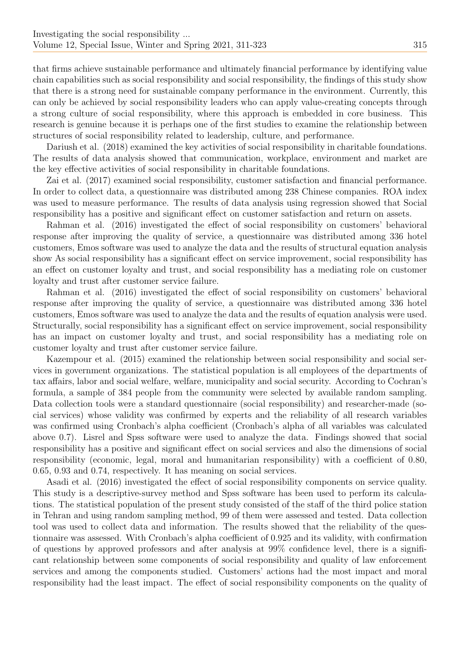that firms achieve sustainable performance and ultimately financial performance by identifying value chain capabilities such as social responsibility and social responsibility, the findings of this study show that there is a strong need for sustainable company performance in the environment. Currently, this can only be achieved by social responsibility leaders who can apply value-creating concepts through a strong culture of social responsibility, where this approach is embedded in core business. This research is genuine because it is perhaps one of the first studies to examine the relationship between structures of social responsibility related to leadership, culture, and performance.

Dariush et al. (2018) examined the key activities of social responsibility in charitable foundations. The results of data analysis showed that communication, workplace, environment and market are the key effective activities of social responsibility in charitable foundations.

Zai et al. (2017) examined social responsibility, customer satisfaction and financial performance. In order to collect data, a questionnaire was distributed among 238 Chinese companies. ROA index was used to measure performance. The results of data analysis using regression showed that Social responsibility has a positive and significant effect on customer satisfaction and return on assets.

Rahman et al. (2016) investigated the effect of social responsibility on customers' behavioral response after improving the quality of service, a questionnaire was distributed among 336 hotel customers, Emos software was used to analyze the data and the results of structural equation analysis show As social responsibility has a significant effect on service improvement, social responsibility has an effect on customer loyalty and trust, and social responsibility has a mediating role on customer loyalty and trust after customer service failure.

Rahman et al. (2016) investigated the effect of social responsibility on customers' behavioral response after improving the quality of service, a questionnaire was distributed among 336 hotel customers, Emos software was used to analyze the data and the results of equation analysis were used. Structurally, social responsibility has a significant effect on service improvement, social responsibility has an impact on customer loyalty and trust, and social responsibility has a mediating role on customer loyalty and trust after customer service failure.

Kazempour et al. (2015) examined the relationship between social responsibility and social services in government organizations. The statistical population is all employees of the departments of tax affairs, labor and social welfare, welfare, municipality and social security. According to Cochran's formula, a sample of 384 people from the community were selected by available random sampling. Data collection tools were a standard questionnaire (social responsibility) and researcher-made (social services) whose validity was confirmed by experts and the reliability of all research variables was confirmed using Cronbach's alpha coefficient (Cronbach's alpha of all variables was calculated above 0.7). Lisrel and Spss software were used to analyze the data. Findings showed that social responsibility has a positive and significant effect on social services and also the dimensions of social responsibility (economic, legal, moral and humanitarian responsibility) with a coefficient of 0.80, 0.65, 0.93 and 0.74, respectively. It has meaning on social services.

Asadi et al. (2016) investigated the effect of social responsibility components on service quality. This study is a descriptive-survey method and Spss software has been used to perform its calculations. The statistical population of the present study consisted of the staff of the third police station in Tehran and using random sampling method, 99 of them were assessed and tested. Data collection tool was used to collect data and information. The results showed that the reliability of the questionnaire was assessed. With Cronbach's alpha coefficient of 0.925 and its validity, with confirmation of questions by approved professors and after analysis at 99% confidence level, there is a significant relationship between some components of social responsibility and quality of law enforcement services and among the components studied. Customers' actions had the most impact and moral responsibility had the least impact. The effect of social responsibility components on the quality of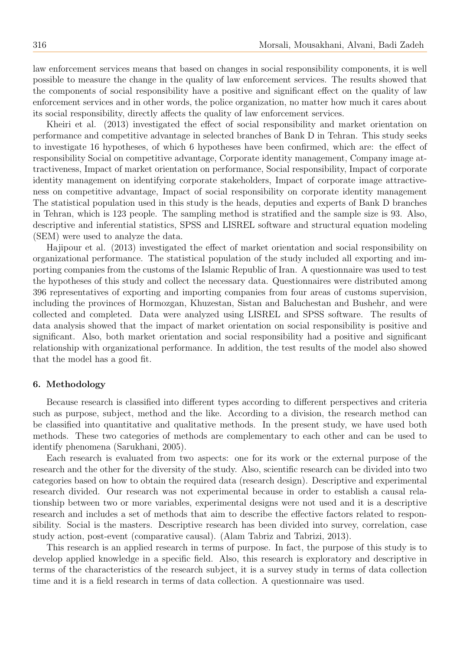law enforcement services means that based on changes in social responsibility components, it is well possible to measure the change in the quality of law enforcement services. The results showed that the components of social responsibility have a positive and significant effect on the quality of law enforcement services and in other words, the police organization, no matter how much it cares about its social responsibility, directly affects the quality of law enforcement services.

Kheiri et al. (2013) investigated the effect of social responsibility and market orientation on performance and competitive advantage in selected branches of Bank D in Tehran. This study seeks to investigate 16 hypotheses, of which 6 hypotheses have been confirmed, which are: the effect of responsibility Social on competitive advantage, Corporate identity management, Company image attractiveness, Impact of market orientation on performance, Social responsibility, Impact of corporate identity management on identifying corporate stakeholders, Impact of corporate image attractiveness on competitive advantage, Impact of social responsibility on corporate identity management The statistical population used in this study is the heads, deputies and experts of Bank D branches in Tehran, which is 123 people. The sampling method is stratified and the sample size is 93. Also, descriptive and inferential statistics, SPSS and LISREL software and structural equation modeling (SEM) were used to analyze the data.

Hajipour et al. (2013) investigated the effect of market orientation and social responsibility on organizational performance. The statistical population of the study included all exporting and importing companies from the customs of the Islamic Republic of Iran. A questionnaire was used to test the hypotheses of this study and collect the necessary data. Questionnaires were distributed among 396 representatives of exporting and importing companies from four areas of customs supervision, including the provinces of Hormozgan, Khuzestan, Sistan and Baluchestan and Bushehr, and were collected and completed. Data were analyzed using LISREL and SPSS software. The results of data analysis showed that the impact of market orientation on social responsibility is positive and significant. Also, both market orientation and social responsibility had a positive and significant relationship with organizational performance. In addition, the test results of the model also showed that the model has a good fit.

#### 6. Methodology

Because research is classified into different types according to different perspectives and criteria such as purpose, subject, method and the like. According to a division, the research method can be classified into quantitative and qualitative methods. In the present study, we have used both methods. These two categories of methods are complementary to each other and can be used to identify phenomena (Sarukhani, 2005).

Each research is evaluated from two aspects: one for its work or the external purpose of the research and the other for the diversity of the study. Also, scientific research can be divided into two categories based on how to obtain the required data (research design). Descriptive and experimental research divided. Our research was not experimental because in order to establish a causal relationship between two or more variables, experimental designs were not used and it is a descriptive research and includes a set of methods that aim to describe the effective factors related to responsibility. Social is the masters. Descriptive research has been divided into survey, correlation, case study action, post-event (comparative causal). (Alam Tabriz and Tabrizi, 2013).

This research is an applied research in terms of purpose. In fact, the purpose of this study is to develop applied knowledge in a specific field. Also, this research is exploratory and descriptive in terms of the characteristics of the research subject, it is a survey study in terms of data collection time and it is a field research in terms of data collection. A questionnaire was used.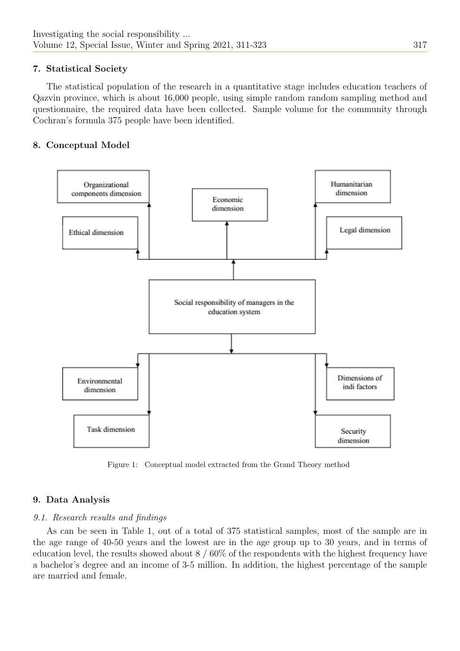# 7. Statistical Society

The statistical population of the research in a quantitative stage includes education teachers of Qazvin province, which is about 16,000 people, using simple random random sampling method and questionnaire, the required data have been collected. Sample volume for the community through Cochran's formula 375 people have been identified.

# 8. Conceptual Model



Figure 1: Conceptual model extracted from the Grand Theory method

# 9. Data Analysis

## 9.1. Research results and findings

As can be seen in Table 1, out of a total of 375 statistical samples, most of the sample are in the age range of 40-50 years and the lowest are in the age group up to 30 years, and in terms of education level, the results showed about 8 / 60% of the respondents with the highest frequency have a bachelor's degree and an income of 3-5 million. In addition, the highest percentage of the sample are married and female.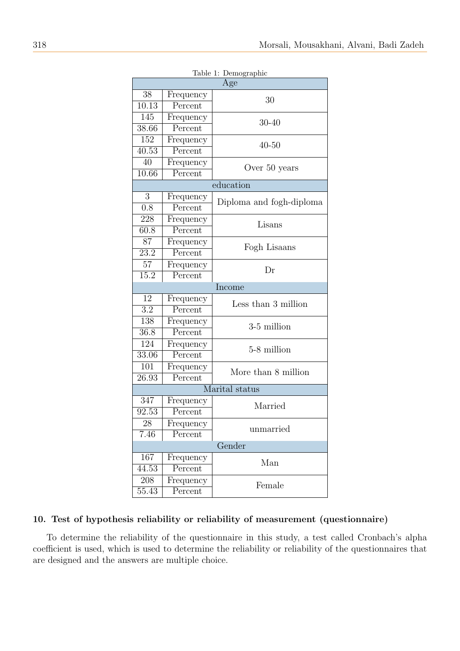| rable 1: Demographic<br>Age |                             |                          |  |  |  |
|-----------------------------|-----------------------------|--------------------------|--|--|--|
| 38                          | Frequency                   |                          |  |  |  |
| $\overline{10.13}$          | Percent                     | 30                       |  |  |  |
| 145                         | Frequency                   |                          |  |  |  |
| 38.66                       | Percent                     | $30 - 40$                |  |  |  |
| 152                         | Frequency                   |                          |  |  |  |
| $\overline{40.53}$          | $\overline{\text{Percent}}$ | $40 - 50$                |  |  |  |
| 40                          | Frequency                   |                          |  |  |  |
| 10.66                       | Percent                     | Over 50 years            |  |  |  |
|                             |                             | education                |  |  |  |
| 3                           |                             |                          |  |  |  |
| $\overline{0.8}$            | Frequency<br>Percent        | Diploma and fogh-diploma |  |  |  |
|                             |                             |                          |  |  |  |
| 228                         | Frequency                   | Lisans                   |  |  |  |
| 60.8                        | Percent                     |                          |  |  |  |
| 87                          | Frequency                   | Fogh Lisaans             |  |  |  |
| $\overline{23.2}$           | Percent                     |                          |  |  |  |
| 57                          | Frequency                   | Dr                       |  |  |  |
| 15.2                        | Percent                     |                          |  |  |  |
| Income                      |                             |                          |  |  |  |
| 12                          | Frequency                   | Less than 3 million      |  |  |  |
| $\overline{3.2}$            | Percent                     |                          |  |  |  |
| 138                         | Frequency                   | 3-5 million              |  |  |  |
| $\overline{36.8}$           | Percent                     |                          |  |  |  |
| 124                         | Frequency                   | 5-8 million              |  |  |  |
| 33.06                       | Percent                     |                          |  |  |  |
| 101                         | Frequency                   | More than 8 million      |  |  |  |
| $\overline{26.93}$          | Percent                     |                          |  |  |  |
|                             |                             | Marital status           |  |  |  |
| 347                         | Frequency                   | Married                  |  |  |  |
| 92.53                       | Percent                     |                          |  |  |  |
| 28                          | Frequency                   | unmarried                |  |  |  |
| 7.46                        | Percent                     |                          |  |  |  |
| Gender                      |                             |                          |  |  |  |
| 167                         | Frequency                   | Man                      |  |  |  |
| 44.53                       | Percent                     |                          |  |  |  |
| 208                         | Frequency                   | Female                   |  |  |  |
| 55.43                       | Percent                     |                          |  |  |  |

Table 1: Demographic

#### 10. Test of hypothesis reliability or reliability of measurement (questionnaire)

To determine the reliability of the questionnaire in this study, a test called Cronbach's alpha coefficient is used, which is used to determine the reliability or reliability of the questionnaires that are designed and the answers are multiple choice.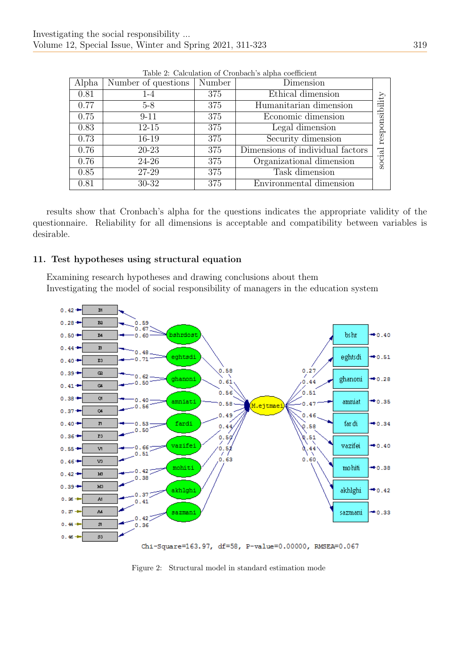| Alpha | Number of questions | Number | Dimension                        |            |
|-------|---------------------|--------|----------------------------------|------------|
| 0.81  | $1 - 4$             | 375    | Ethical dimension                |            |
| 0.77  | $5 - 8$             | 375    | Humanitarian dimension           | onsibility |
| 0.75  | $9 - 11$            | 375    | Economic dimension               |            |
| 0.83  | $12 - 15$           | 375    | Legal dimension                  |            |
| 0.73  | 16-19               | 375    | Security dimension               | resp       |
| 0.76  | 20-23               | 375    | Dimensions of individual factors |            |
| 0.76  | 24-26               | 375    | Organizational dimension         | social     |
| 0.85  | 27-29               | 375    | Task dimension                   |            |
| 0.81  | 30-32               | 375    | Environmental dimension          |            |

Table 2: Calculation of Cronbach's alpha coefficient

results show that Cronbach's alpha for the questions indicates the appropriate validity of the questionnaire. Reliability for all dimensions is acceptable and compatibility between variables is desirable.

# 11. Test hypotheses using structural equation

Examining research hypotheses and drawing conclusions about them Investigating the model of social responsibility of managers in the education system



Chi-Square=163.97, df=58, P-value=0.00000, RMSEA=0.067

Figure 2: Structural model in standard estimation mode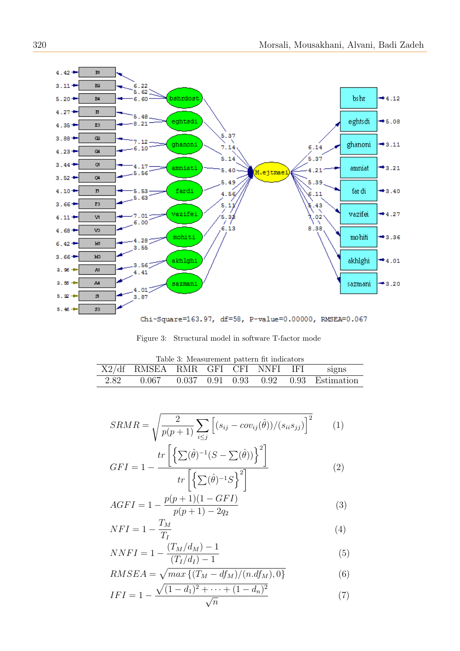

Chi-Square=163.97, df=58, P-value=0.00000, RMSEA=0.067

Figure 3: Structural model in software T-factor mode

<span id="page-9-0"></span>

| Table 3: Measurement pattern fit indicators |                                  |  |  |  |  |  |                                                        |
|---------------------------------------------|----------------------------------|--|--|--|--|--|--------------------------------------------------------|
|                                             | X2/df RMSEA RMR GFI CFI NNFI IFI |  |  |  |  |  | signs                                                  |
| 2.82                                        |                                  |  |  |  |  |  | $0.067$ $0.037$ $0.91$ $0.93$ $0.92$ $0.93$ Estimation |

$$
SRMR = \sqrt{\frac{2}{p(p+1)} \sum_{i \le j} \left[ (s_{ij} - cov_{ij}(\hat{\theta})) / (s_{ii} s_{jj}) \right]^2} \tag{1}
$$

$$
GFI = 1 - \frac{tr\left[\left\{\sum(\hat{\theta})^{-1}(S - \sum(\hat{\theta}))\right\}^2\right]}{tr\left[\left\{\sum(\hat{\theta})^{-1}S\right\}^2\right]}
$$
(2)

$$
AGFI = 1 - \frac{p(p+1)(1 - GFI)}{p(p+1) - 2q_2} \tag{3}
$$

$$
NFI = 1 - \frac{T_M}{T_I} \tag{4}
$$

$$
NNFI = 1 - \frac{(T_M/d_M) - 1}{(T_I/d_I) - 1} \tag{5}
$$

$$
RMSEA = \sqrt{max\left\{ (T_M - df_M)/(n.df_M), 0 \right\}}
$$
\n
$$
\sqrt{(1-d_1)^2 + \dots + (1-d_n)^2}
$$
\n(6)

$$
IFI = 1 - \frac{\sqrt{(1 - d_1)^2 + \dots + (1 - d_n)^2}}{\sqrt{n}} \tag{7}
$$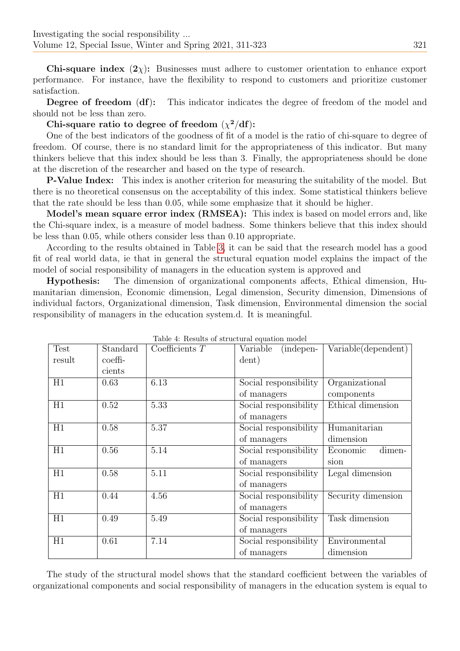Chi-square index  $(2\chi)$ : Businesses must adhere to customer orientation to enhance export performance. For instance, have the flexibility to respond to customers and prioritize customer satisfaction.

Degree of freedom (df): This indicator indicates the degree of freedom of the model and should not be less than zero.

## Chi-square ratio to degree of freedom  $(\chi^2/\text{d}f)$ :

One of the best indicators of the goodness of fit of a model is the ratio of chi-square to degree of freedom. Of course, there is no standard limit for the appropriateness of this indicator. But many thinkers believe that this index should be less than 3. Finally, the appropriateness should be done at the discretion of the researcher and based on the type of research.

P-Value Index: This index is another criterion for measuring the suitability of the model. But there is no theoretical consensus on the acceptability of this index. Some statistical thinkers believe that the rate should be less than 0.05, while some emphasize that it should be higher.

Model's mean square error index (RMSEA): This index is based on model errors and, like the Chi-square index, is a measure of model badness. Some thinkers believe that this index should be less than 0.05, while others consider less than 0.10 appropriate.

According to the results obtained in Table [3,](#page-9-0) it can be said that the research model has a good fit of real world data, ie that in general the structural equation model explains the impact of the model of social responsibility of managers in the education system is approved and

Hypothesis: The dimension of organizational components affects, Ethical dimension, Humanitarian dimension, Economic dimension, Legal dimension, Security dimension, Dimensions of individual factors, Organizational dimension, Task dimension, Environmental dimension the social responsibility of managers in the education system.d. It is meaningful.

| Test            | Standard | Table +. Tusulus of suructural equation model<br>Coefficients $T$ | Variable<br>(indepen- | Variable(dependent) |
|-----------------|----------|-------------------------------------------------------------------|-----------------------|---------------------|
| result          | coeffi-  |                                                                   | dent)                 |                     |
|                 | cients   |                                                                   |                       |                     |
| H1              | 0.63     | 6.13                                                              | Social responsibility | Organizational      |
|                 |          |                                                                   | of managers           | components          |
| $\overline{H1}$ | 0.52     | 5.33                                                              | Social responsibility | Ethical dimension   |
|                 |          |                                                                   | of managers           |                     |
| H1              | 0.58     | 5.37                                                              | Social responsibility | Humanitarian        |
|                 |          |                                                                   | of managers           | dimension           |
| H1              | 0.56     | 5.14                                                              | Social responsibility | dimen-<br>Economic  |
|                 |          |                                                                   | of managers           | sion                |
| H1              | 0.58     | 5.11                                                              | Social responsibility | Legal dimension     |
|                 |          |                                                                   | of managers           |                     |
| H1              | 0.44     | 4.56                                                              | Social responsibility | Security dimension  |
|                 |          |                                                                   | of managers           |                     |
| H1              | 0.49     | 5.49                                                              | Social responsibility | Task dimension      |
|                 |          |                                                                   | of managers           |                     |
| H1              | 0.61     | 7.14                                                              | Social responsibility | Environmental       |
|                 |          |                                                                   | of managers           | dimension           |

Table 4: Results of structural equation model

The study of the structural model shows that the standard coefficient between the variables of organizational components and social responsibility of managers in the education system is equal to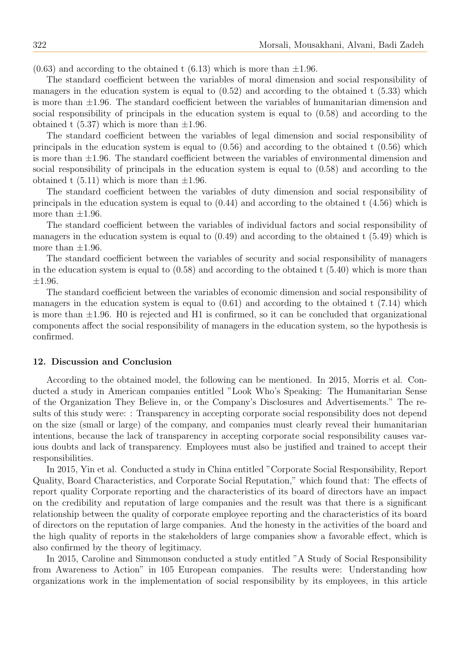$(0.63)$  and according to the obtained t  $(6.13)$  which is more than  $\pm 1.96$ .

The standard coefficient between the variables of moral dimension and social responsibility of managers in the education system is equal to  $(0.52)$  and according to the obtained t  $(5.33)$  which is more than  $\pm 1.96$ . The standard coefficient between the variables of humanitarian dimension and social responsibility of principals in the education system is equal to (0.58) and according to the obtained t  $(5.37)$  which is more than  $\pm 1.96$ .

The standard coefficient between the variables of legal dimension and social responsibility of principals in the education system is equal to (0.56) and according to the obtained t (0.56) which is more than  $\pm 1.96$ . The standard coefficient between the variables of environmental dimension and social responsibility of principals in the education system is equal to (0.58) and according to the obtained t  $(5.11)$  which is more than  $\pm 1.96$ .

The standard coefficient between the variables of duty dimension and social responsibility of principals in the education system is equal to (0.44) and according to the obtained t (4.56) which is more than  $\pm 1.96$ .

The standard coefficient between the variables of individual factors and social responsibility of managers in the education system is equal to (0.49) and according to the obtained t (5.49) which is more than  $\pm 1.96$ .

The standard coefficient between the variables of security and social responsibility of managers in the education system is equal to  $(0.58)$  and according to the obtained t  $(5.40)$  which is more than ±1.96.

The standard coefficient between the variables of economic dimension and social responsibility of managers in the education system is equal to  $(0.61)$  and according to the obtained t  $(7.14)$  which is more than  $\pm 1.96$ . H0 is rejected and H1 is confirmed, so it can be concluded that organizational components affect the social responsibility of managers in the education system, so the hypothesis is confirmed.

#### 12. Discussion and Conclusion

According to the obtained model, the following can be mentioned. In 2015, Morris et al. Conducted a study in American companies entitled "Look Who's Speaking: The Humanitarian Sense of the Organization They Believe in, or the Company's Disclosures and Advertisements." The results of this study were: : Transparency in accepting corporate social responsibility does not depend on the size (small or large) of the company, and companies must clearly reveal their humanitarian intentions, because the lack of transparency in accepting corporate social responsibility causes various doubts and lack of transparency. Employees must also be justified and trained to accept their responsibilities.

In 2015, Yin et al. Conducted a study in China entitled "Corporate Social Responsibility, Report Quality, Board Characteristics, and Corporate Social Reputation," which found that: The effects of report quality Corporate reporting and the characteristics of its board of directors have an impact on the credibility and reputation of large companies and the result was that there is a significant relationship between the quality of corporate employee reporting and the characteristics of its board of directors on the reputation of large companies. And the honesty in the activities of the board and the high quality of reports in the stakeholders of large companies show a favorable effect, which is also confirmed by the theory of legitimacy.

In 2015, Caroline and Simmonson conducted a study entitled "A Study of Social Responsibility from Awareness to Action" in 105 European companies. The results were: Understanding how organizations work in the implementation of social responsibility by its employees, in this article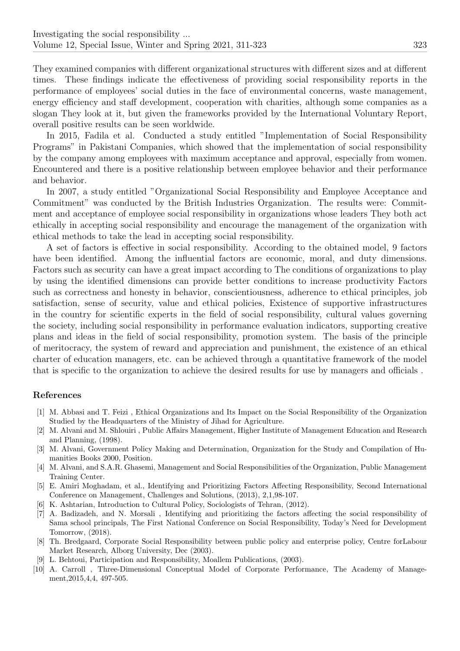They examined companies with different organizational structures with different sizes and at different times. These findings indicate the effectiveness of providing social responsibility reports in the performance of employees' social duties in the face of environmental concerns, waste management, energy efficiency and staff development, cooperation with charities, although some companies as a slogan They look at it, but given the frameworks provided by the International Voluntary Report, overall positive results can be seen worldwide.

In 2015, Fadila et al. Conducted a study entitled "Implementation of Social Responsibility Programs" in Pakistani Companies, which showed that the implementation of social responsibility by the company among employees with maximum acceptance and approval, especially from women. Encountered and there is a positive relationship between employee behavior and their performance and behavior.

In 2007, a study entitled "Organizational Social Responsibility and Employee Acceptance and Commitment" was conducted by the British Industries Organization. The results were: Commitment and acceptance of employee social responsibility in organizations whose leaders They both act ethically in accepting social responsibility and encourage the management of the organization with ethical methods to take the lead in accepting social responsibility.

A set of factors is effective in social responsibility. According to the obtained model, 9 factors have been identified. Among the influential factors are economic, moral, and duty dimensions. Factors such as security can have a great impact according to The conditions of organizations to play by using the identified dimensions can provide better conditions to increase productivity Factors such as correctness and honesty in behavior, conscientiousness, adherence to ethical principles, job satisfaction, sense of security, value and ethical policies, Existence of supportive infrastructures in the country for scientific experts in the field of social responsibility, cultural values governing the society, including social responsibility in performance evaluation indicators, supporting creative plans and ideas in the field of social responsibility, promotion system. The basis of the principle of meritocracy, the system of reward and appreciation and punishment, the existence of an ethical charter of education managers, etc. can be achieved through a quantitative framework of the model that is specific to the organization to achieve the desired results for use by managers and officials .

#### References

- [1] M. Abbasi and T. Feizi , Ethical Organizations and Its Impact on the Social Responsibility of the Organization Studied by the Headquarters of the Ministry of Jihad for Agriculture.
- [2] M. Alvani and M. Shlouiri , Public Affairs Management, Higher Institute of Management Education and Research and Planning, (1998).
- [3] M. Alvani, Government Policy Making and Determination, Organization for the Study and Compilation of Humanities Books 2000, Position.
- [4] M. Alvani, and S.A.R. Ghasemi, Management and Social Responsibilities of the Organization, Public Management Training Center.
- [5] E. Amiri Moghadam, et al., Identifying and Prioritizing Factors Affecting Responsibility, Second International Conference on Management, Challenges and Solutions, (2013), 2,1,98-107.
- K. Ashtarian, Introduction to Cultural Policy, Sociologists of Tehran, (2012).
- [7] A. Badizadeh, and N. Morsali , Identifying and prioritizing the factors affecting the social responsibility of Sama school principals, The First National Conference on Social Responsibility, Today's Need for Development Tomorrow, (2018).
- [8] Th. Bredgaard, Corporate Social Responsibility between public policy and enterprise policy, Centre forLabour Market Research, Alborg University, Dec (2003).
- [9] L. Behtoui, Participation and Responsibility, Moallem Publications, (2003).
- [10] A. Carroll , Three-Dimensional Conceptual Model of Corporate Performance, The Academy of Management,2015,4,4, 497-505.